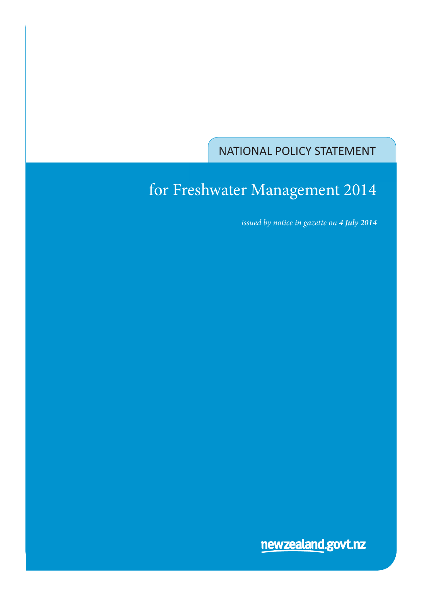NATIONAL POLICY STATEMENT

# for Freshwater Management 2014

 *issued by notice in gazette on 4 July 2014*

newzealand.govt.nz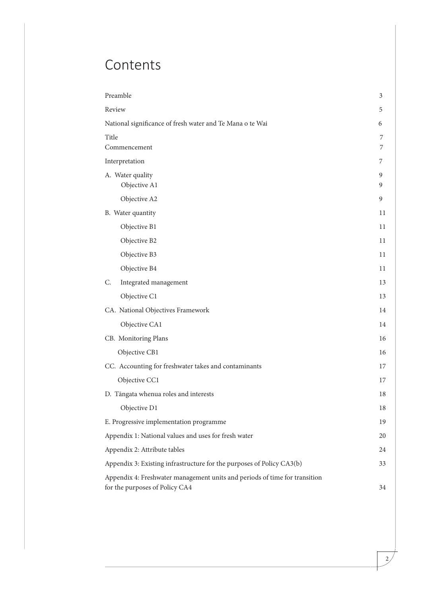# Contents

| Preamble                                                                                                     | 3      |
|--------------------------------------------------------------------------------------------------------------|--------|
| Review                                                                                                       | 5      |
| National significance of fresh water and Te Mana o te Wai                                                    | 6      |
| Title<br>Commencement                                                                                        | 7<br>7 |
| Interpretation                                                                                               | 7      |
| A. Water quality<br>Objective A1                                                                             | 9<br>9 |
| Objective A2                                                                                                 | 9      |
| B. Water quantity                                                                                            | 11     |
| Objective B1                                                                                                 | 11     |
| Objective B2                                                                                                 | 11     |
| Objective B3                                                                                                 | 11     |
| Objective B4                                                                                                 | 11     |
| Integrated management<br>C.                                                                                  | 13     |
| Objective C1                                                                                                 | 13     |
| CA. National Objectives Framework                                                                            | 14     |
| Objective CA1                                                                                                | 14     |
| CB. Monitoring Plans                                                                                         | 16     |
| Objective CB1                                                                                                | 16     |
| CC. Accounting for freshwater takes and contaminants                                                         | 17     |
| Objective CC1                                                                                                | 17     |
| D. Tängata whenua roles and interests                                                                        | 18     |
| Objective D1                                                                                                 | 18     |
| E. Progressive implementation programme                                                                      | 19     |
| Appendix 1: National values and uses for fresh water                                                         | 20     |
| Appendix 2: Attribute tables                                                                                 | 24     |
| Appendix 3: Existing infrastructure for the purposes of Policy CA3(b)                                        | 33     |
| Appendix 4: Freshwater management units and periods of time for transition<br>for the purposes of Policy CA4 | 34     |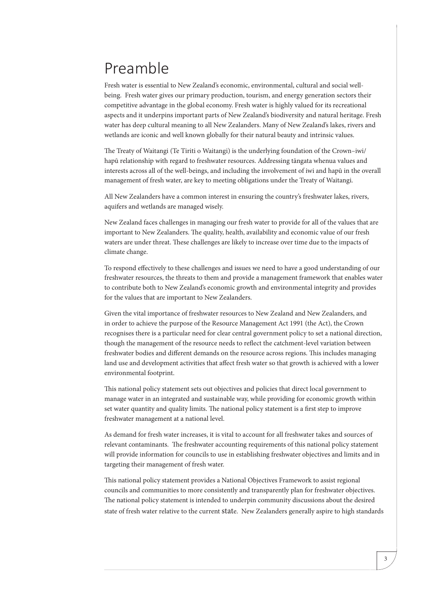# Preamble

Fresh water is essential to New Zealand's economic, environmental, cultural and social wellbeing. Fresh water gives our primary production, tourism, and energy generation sectors their competitive advantage in the global economy. Fresh water is highly valued for its recreational aspects and it underpins important parts of New Zealand's biodiversity and natural heritage. Fresh water has deep cultural meaning to all New Zealanders. Many of New Zealand's lakes, rivers and wetlands are iconic and well known globally for their natural beauty and intrinsic values.

The Treaty of Waitangi (Te Tiriti o Waitangi) is the underlying foundation of the Crown–iwi/ hapū relationship with regard to freshwater resources. Addressing tāngata whenua values and interests across all of the well-beings, and including the involvement of iwi and hapū in the overall management of fresh water, are key to meeting obligations under the Treaty of Waitangi.

All New Zealanders have a common interest in ensuring the country's freshwater lakes, rivers, aquifers and wetlands are managed wisely.

New Zealand faces challenges in managing our fresh water to provide for all of the values that are important to New Zealanders. The quality, health, availability and economic value of our fresh waters are under threat. These challenges are likely to increase over time due to the impacts of climate change.

To respond effectively to these challenges and issues we need to have a good understanding of our freshwater resources, the threats to them and provide a management framework that enables water to contribute both to New Zealand's economic growth and environmental integrity and provides for the values that are important to New Zealanders.

Given the vital importance of freshwater resources to New Zealand and New Zealanders, and in order to achieve the purpose of the Resource Management Act 1991 (the Act), the Crown recognises there is a particular need for clear central government policy to set a national direction, though the management of the resource needs to reflect the catchment-level variation between freshwater bodies and different demands on the resource across regions. This includes managing land use and development activities that affect fresh water so that growth is achieved with a lower environmental footprint.

This national policy statement sets out objectives and policies that direct local government to manage water in an integrated and sustainable way, while providing for economic growth within set water quantity and quality limits. The national policy statement is a first step to improve freshwater management at a national level.

As demand for fresh water increases, it is vital to account for all freshwater takes and sources of relevant contaminants. The freshwater accounting requirements of this national policy statement will provide information for councils to use in establishing freshwater objectives and limits and in targeting their management of fresh water.

This national policy statement provides a National Objectives Framework to assist regional councils and communities to more consistently and transparently plan for freshwater objectives. The national policy statement is intended to underpin community discussions about the desired state of fresh water relative to the current state. New Zealanders generally aspire to high standards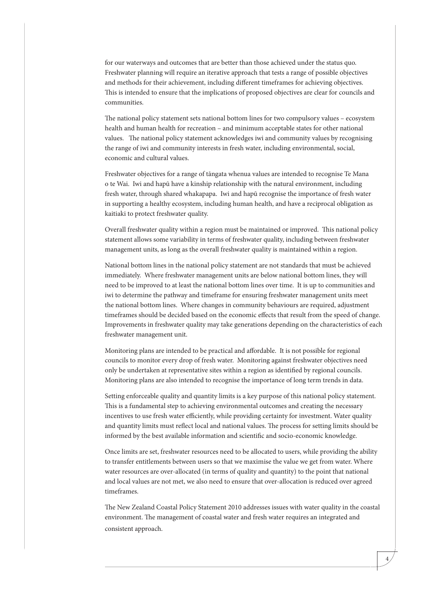for our waterways and outcomes that are better than those achieved under the status quo. Freshwater planning will require an iterative approach that tests a range of possible objectives and methods for their achievement, including different timeframes for achieving objectives. This is intended to ensure that the implications of proposed objectives are clear for councils and communities.

The national policy statement sets national bottom lines for two compulsory values – ecosystem health and human health for recreation – and minimum acceptable states for other national values. The national policy statement acknowledges iwi and community values by recognising the range of iwi and community interests in fresh water, including environmental, social, economic and cultural values.

Freshwater objectives for a range of tāngata whenua values are intended to recognise Te Mana o te Wai. Iwi and hapū have a kinship relationship with the natural environment, including fresh water, through shared whakapapa. Iwi and hapū recognise the importance of fresh water in supporting a healthy ecosystem, including human health, and have a reciprocal obligation as kaitiaki to protect freshwater quality.

Overall freshwater quality within a region must be maintained or improved. This national policy statement allows some variability in terms of freshwater quality, including between freshwater management units, as long as the overall freshwater quality is maintained within a region.

National bottom lines in the national policy statement are not standards that must be achieved immediately. Where freshwater management units are below national bottom lines, they will need to be improved to at least the national bottom lines over time. It is up to communities and iwi to determine the pathway and timeframe for ensuring freshwater management units meet the national bottom lines. Where changes in community behaviours are required, adjustment timeframes should be decided based on the economic effects that result from the speed of change. Improvements in freshwater quality may take generations depending on the characteristics of each freshwater management unit.

Monitoring plans are intended to be practical and affordable. It is not possible for regional councils to monitor every drop of fresh water. Monitoring against freshwater objectives need only be undertaken at representative sites within a region as identified by regional councils. Monitoring plans are also intended to recognise the importance of long term trends in data.

Setting enforceable quality and quantity limits is a key purpose of this national policy statement. This is a fundamental step to achieving environmental outcomes and creating the necessary incentives to use fresh water efficiently, while providing certainty for investment. Water quality and quantity limits must reflect local and national values. The process for setting limits should be informed by the best available information and scientific and socio-economic knowledge.

Once limits are set, freshwater resources need to be allocated to users, while providing the ability to transfer entitlements between users so that we maximise the value we get from water. Where water resources are over-allocated (in terms of quality and quantity) to the point that national and local values are not met, we also need to ensure that over-allocation is reduced over agreed timeframes.

The New Zealand Coastal Policy Statement 2010 addresses issues with water quality in the coastal environment. The management of coastal water and fresh water requires an integrated and consistent approach.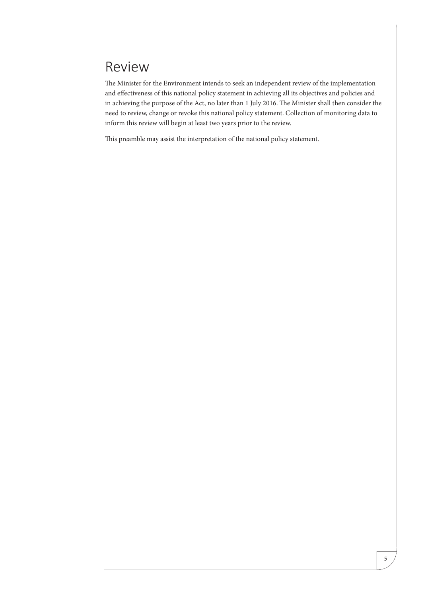## Review

The Minister for the Environment intends to seek an independent review of the implementation and effectiveness of this national policy statement in achieving all its objectives and policies and in achieving the purpose of the Act, no later than 1 July 2016. The Minister shall then consider the need to review, change or revoke this national policy statement. Collection of monitoring data to inform this review will begin at least two years prior to the review.

This preamble may assist the interpretation of the national policy statement.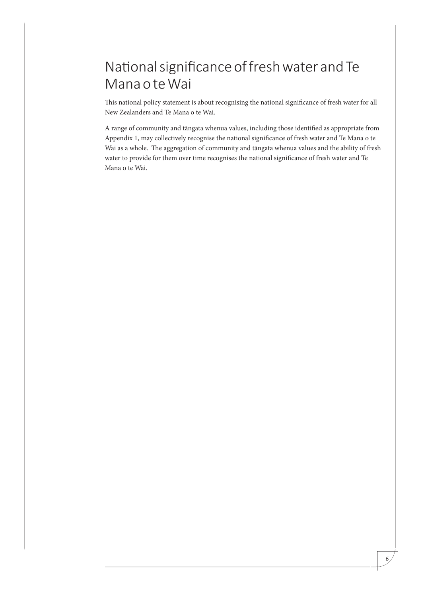## National significance of fresh water and Te Mana o te Wai

This national policy statement is about recognising the national significance of fresh water for all New Zealanders and Te Mana o te Wai.

A range of community and tāngata whenua values, including those identified as appropriate from Appendix 1, may collectively recognise the national significance of fresh water and Te Mana o te Wai as a whole. The aggregation of community and tāngata whenua values and the ability of fresh water to provide for them over time recognises the national significance of fresh water and Te Mana o te Wai.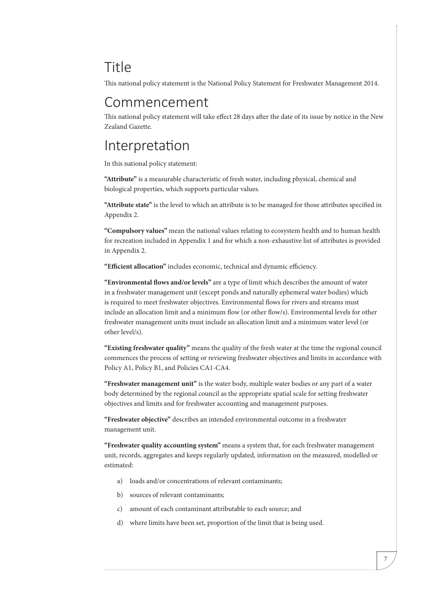## Title

This national policy statement is the National Policy Statement for Freshwater Management 2014.

## Commencement

This national policy statement will take effect 28 days after the date of its issue by notice in the New Zealand Gazette.

## Interpretation

In this national policy statement:

**"Attribute"** is a measurable characteristic of fresh water, including physical, chemical and biological properties, which supports particular values.

**"Attribute state"** is the level to which an attribute is to be managed for those attributes specified in Appendix 2.

**"Compulsory values"** mean the national values relating to ecosystem health and to human health for recreation included in Appendix 1 and for which a non-exhaustive list of attributes is provided in Appendix 2.

**"Efficient allocation"** includes economic, technical and dynamic efficiency.

**"Environmental flows and/or levels"** are a type of limit which describes the amount of water in a freshwater management unit (except ponds and naturally ephemeral water bodies) which is required to meet freshwater objectives. Environmental flows for rivers and streams must include an allocation limit and a minimum flow (or other flow/s). Environmental levels for other freshwater management units must include an allocation limit and a minimum water level (or other level/s).

**"Existing freshwater quality"** means the quality of the fresh water at the time the regional council commences the process of setting or reviewing freshwater objectives and limits in accordance with Policy A1, Policy B1, and Policies CA1-CA4.

**"Freshwater management unit"** is the water body, multiple water bodies or any part of a water body determined by the regional council as the appropriate spatial scale for setting freshwater objectives and limits and for freshwater accounting and management purposes.

**"Freshwater objective"** describes an intended environmental outcome in a freshwater management unit.

**"Freshwater quality accounting system"** means a system that, for each freshwater management unit, records, aggregates and keeps regularly updated, information on the measured, modelled or estimated:

- a) loads and/or concentrations of relevant contaminants;
- b) sources of relevant contaminants;
- c) amount of each contaminant attributable to each source; and
- d) where limits have been set, proportion of the limit that is being used.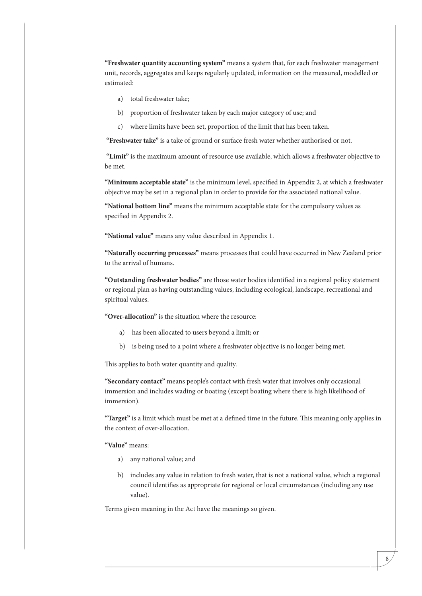**"Freshwater quantity accounting system"** means a system that, for each freshwater management unit, records, aggregates and keeps regularly updated, information on the measured, modelled or estimated:

- a) total freshwater take;
- b) proportion of freshwater taken by each major category of use; and
- c) where limits have been set, proportion of the limit that has been taken.

 **"Freshwater take"** is a take of ground or surface fresh water whether authorised or not.

 **"Limit"** is the maximum amount of resource use available, which allows a freshwater objective to be met.

**"Minimum acceptable state"** is the minimum level, specified in Appendix 2, at which a freshwater objective may be set in a regional plan in order to provide for the associated national value.

**"National bottom line"** means the minimum acceptable state for the compulsory values as specified in Appendix 2.

**"National value"** means any value described in Appendix 1.

**"Naturally occurring processes"** means processes that could have occurred in New Zealand prior to the arrival of humans.

**"Outstanding freshwater bodies"** are those water bodies identified in a regional policy statement or regional plan as having outstanding values, including ecological, landscape, recreational and spiritual values.

**"Over-allocation"** is the situation where the resource:

- a) has been allocated to users beyond a limit; or
- b) is being used to a point where a freshwater objective is no longer being met.

This applies to both water quantity and quality.

**"Secondary contact"** means people's contact with fresh water that involves only occasional immersion and includes wading or boating (except boating where there is high likelihood of immersion).

**"Target"** is a limit which must be met at a defined time in the future. This meaning only applies in the context of over-allocation.

#### **"Value"** means:

- a) any national value; and
- b) includes any value in relation to fresh water, that is not a national value, which a regional council identifies as appropriate for regional or local circumstances (including any use value).

Terms given meaning in the Act have the meanings so given.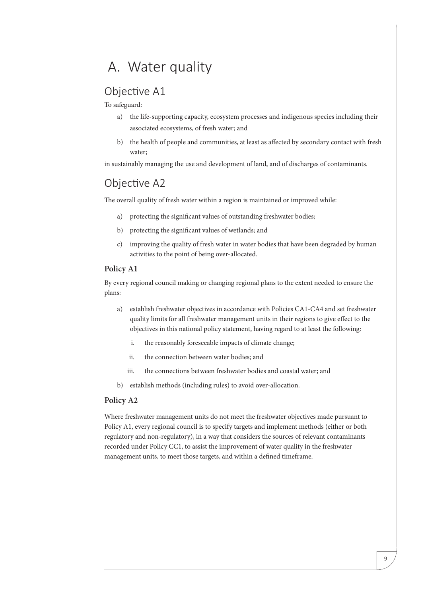## A. Water quality

### Objective A1

To safeguard:

- a) the life-supporting capacity, ecosystem processes and indigenous species including their associated ecosystems, of fresh water; and
- b) the health of people and communities, at least as affected by secondary contact with fresh water;

in sustainably managing the use and development of land, and of discharges of contaminants.

### Objective A2

The overall quality of fresh water within a region is maintained or improved while:

- a) protecting the significant values of outstanding freshwater bodies;
- b) protecting the significant values of wetlands; and
- c) improving the quality of fresh water in water bodies that have been degraded by human activities to the point of being over-allocated.

#### **Policy A1**

By every regional council making or changing regional plans to the extent needed to ensure the plans:

- a) establish freshwater objectives in accordance with Policies CA1-CA4 and set freshwater quality limits for all freshwater management units in their regions to give effect to the objectives in this national policy statement, having regard to at least the following:
	- i. the reasonably foreseeable impacts of climate change;
	- ii. the connection between water bodies; and
	- iii. the connections between freshwater bodies and coastal water; and
- b) establish methods (including rules) to avoid over-allocation.

#### **Policy A2**

Where freshwater management units do not meet the freshwater objectives made pursuant to Policy A1, every regional council is to specify targets and implement methods (either or both regulatory and non-regulatory), in a way that considers the sources of relevant contaminants recorded under Policy CC1, to assist the improvement of water quality in the freshwater management units, to meet those targets, and within a defined timeframe.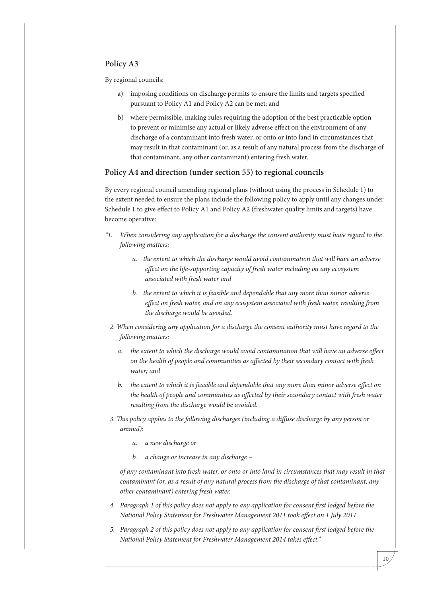#### **Policy A3**

By regional councils:

- a) imposing conditions on discharge permits to ensure the limits and targets specified pursuant to Policy A1 and Policy A2 can be met; and
- b) where permissible, making rules requiring the adoption of the best practicable option to prevent or minimise any actual or likely adverse effect on the environment of any discharge of a contaminant into fresh water, or onto or into land in circumstances that may result in that contaminant (or, as a result of any natural process from the discharge of that contaminant, any other contaminant) entering fresh water.

#### **Policy A4 and direction (under section 55) to regional councils**

By every regional council amending regional plans (without using the process in Schedule 1) to the extent needed to ensure the plans include the following policy to apply until any changes under Schedule 1 to give effect to Policy A1 and Policy A2 (freshwater quality limits and targets) have become operative:

- *"1. When considering any application for a discharge the consent authority must have regard to the following matters:*
	- *a. the extent to which the discharge would avoid contamination that will have an adverse effect on the life-supporting capacity of fresh water including on any ecosystem associated with fresh water and*
	- *b. the extent to which it is feasible and dependable that any more than minor adverse effect on fresh water, and on any ecosystem associated with fresh water, resulting from the discharge would be avoided.*
- *2. When considering any application for a discharge the consent authority must have regard to the following matters:*
	- *a. the extent to which the discharge would avoid contamination that will have an adverse effect on the health of people and communities as affected by their secondary contact with fresh water; and*
	- *b. the extent to which it is feasible and dependable that any more than minor adverse effect on the health of people and communities as affected by their secondary contact with fresh water resulting from the discharge would be avoided.*
- *3. This policy applies to the following discharges (including a diffuse discharge by any person or animal):*
	- *a. a new discharge or*
	- *b. a change or increase in any discharge*

*of any contaminant into fresh water, or onto or into land in circumstances that may result in that contaminant (or, as a result of any natural process from the discharge of that contaminant, any other contaminant) entering fresh water.*

- *4. Paragraph 1 of this policy does not apply to any application for consent first lodged before the National Policy Statement for Freshwater Management 2011 took effect on 1 July 2011.*
- *5. Paragraph 2 of this policy does not apply to any application for consent first lodged before the National Policy Statement for Freshwater Management 2014 takes effect."*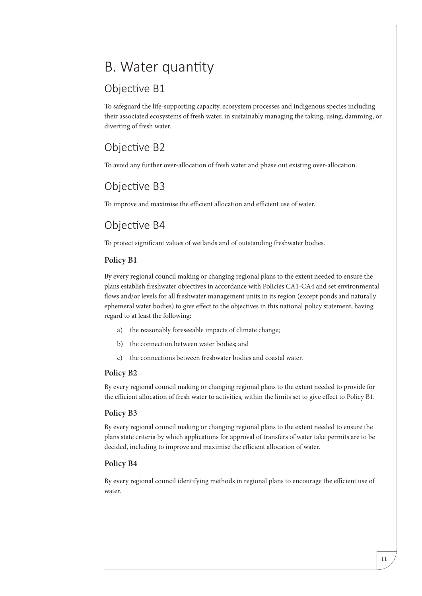# B. Water quantity

### Objective B1

To safeguard the life-supporting capacity, ecosystem processes and indigenous species including their associated ecosystems of fresh water, in sustainably managing the taking, using, damming, or diverting of fresh water.

### Objective B2

To avoid any further over-allocation of fresh water and phase out existing over-allocation.

### Objective B3

To improve and maximise the efficient allocation and efficient use of water.

### Objective B4

To protect significant values of wetlands and of outstanding freshwater bodies.

#### **Policy B1**

By every regional council making or changing regional plans to the extent needed to ensure the plans establish freshwater objectives in accordance with Policies CA1-CA4 and set environmental flows and/or levels for all freshwater management units in its region (except ponds and naturally ephemeral water bodies) to give effect to the objectives in this national policy statement, having regard to at least the following:

- a) the reasonably foreseeable impacts of climate change;
- b) the connection between water bodies; and
- c) the connections between freshwater bodies and coastal water.

#### **Policy B2**

By every regional council making or changing regional plans to the extent needed to provide for the efficient allocation of fresh water to activities, within the limits set to give effect to Policy B1.

#### **Policy B3**

By every regional council making or changing regional plans to the extent needed to ensure the plans state criteria by which applications for approval of transfers of water take permits are to be decided, including to improve and maximise the efficient allocation of water.

#### **Policy B4**

By every regional council identifying methods in regional plans to encourage the efficient use of water.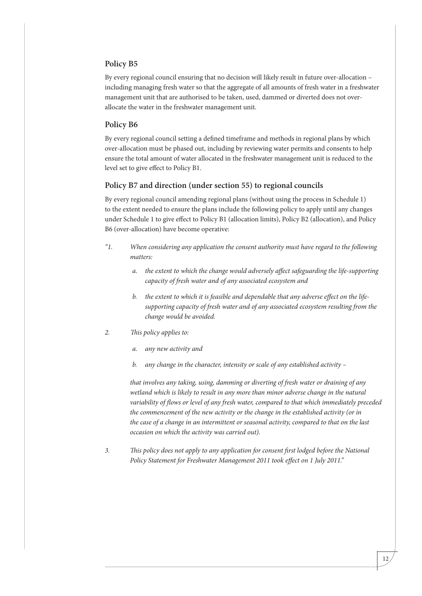#### **Policy B5**

By every regional council ensuring that no decision will likely result in future over-allocation – including managing fresh water so that the aggregate of all amounts of fresh water in a freshwater management unit that are authorised to be taken, used, dammed or diverted does not overallocate the water in the freshwater management unit.

#### **Policy B6**

By every regional council setting a defined timeframe and methods in regional plans by which over-allocation must be phased out, including by reviewing water permits and consents to help ensure the total amount of water allocated in the freshwater management unit is reduced to the level set to give effect to Policy B1.

#### **Policy B7 and direction (under section 55) to regional councils**

By every regional council amending regional plans (without using the process in Schedule 1) to the extent needed to ensure the plans include the following policy to apply until any changes under Schedule 1 to give effect to Policy B1 (allocation limits), Policy B2 (allocation), and Policy B6 (over-allocation) have become operative:

- *"1. When considering any application the consent authority must have regard to the following matters:*
	- *a. the extent to which the change would adversely affect safeguarding the life-supporting capacity of fresh water and of any associated ecosystem and*
	- *b. the extent to which it is feasible and dependable that any adverse effect on the lifesupporting capacity of fresh water and of any associated ecosystem resulting from the change would be avoided.*
- *2. This policy applies to:*
	- *a. any new activity and*
	- *b. any change in the character, intensity or scale of any established activity –*

*that involves any taking, using, damming or diverting of fresh water or draining of any wetland which is likely to result in any more than minor adverse change in the natural variability of flows or level of any fresh water, compared to that which immediately preceded the commencement of the new activity or the change in the established activity (or in the case of a change in an intermittent or seasonal activity, compared to that on the last occasion on which the activity was carried out).*

*3. This policy does not apply to any application for consent first lodged before the National Policy Statement for Freshwater Management 2011 took effect on 1 July 2011."*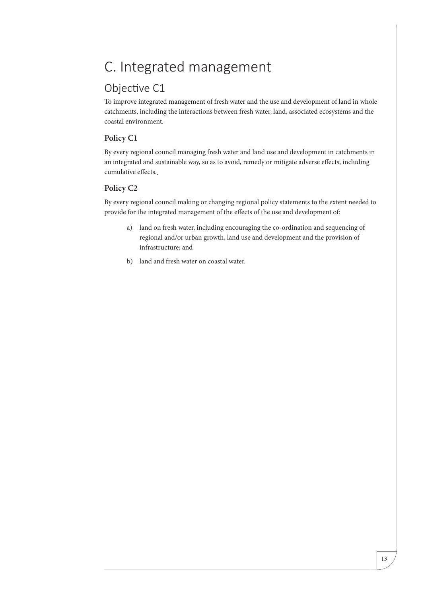# C. Integrated management

### Objective C1

To improve integrated management of fresh water and the use and development of land in whole catchments, including the interactions between fresh water, land, associated ecosystems and the coastal environment.

#### **Policy C1**

By every regional council managing fresh water and land use and development in catchments in an integrated and sustainable way, so as to avoid, remedy or mitigate adverse effects, including cumulative effects.

#### **Policy C2**

By every regional council making or changing regional policy statements to the extent needed to provide for the integrated management of the effects of the use and development of:

- a) land on fresh water, including encouraging the co-ordination and sequencing of regional and/or urban growth, land use and development and the provision of infrastructure; and
- b) land and fresh water on coastal water.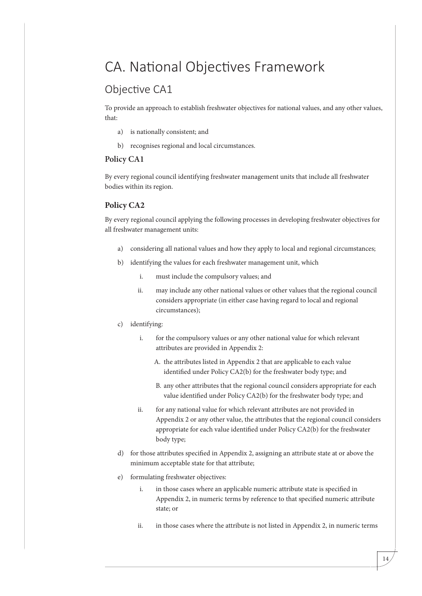## CA. National Objectives Framework

### Objective CA1

To provide an approach to establish freshwater objectives for national values, and any other values, that:

- a) is nationally consistent; and
- b) recognises regional and local circumstances.

#### **Policy CA1**

By every regional council identifying freshwater management units that include all freshwater bodies within its region.

#### **Policy CA2**

By every regional council applying the following processes in developing freshwater objectives for all freshwater management units:

- a) considering all national values and how they apply to local and regional circumstances;
- b) identifying the values for each freshwater management unit, which
	- i. must include the compulsory values; and
	- ii. may include any other national values or other values that the regional council considers appropriate (in either case having regard to local and regional circumstances);
- c) identifying:
	- i. for the compulsory values or any other national value for which relevant attributes are provided in Appendix 2:
		- A. the attributes listed in Appendix 2 that are applicable to each value identified under Policy CA2(b) for the freshwater body type; and
		- B. any other attributes that the regional council considers appropriate for each value identified under Policy CA2(b) for the freshwater body type; and
	- ii. for any national value for which relevant attributes are not provided in Appendix 2 or any other value, the attributes that the regional council considers appropriate for each value identified under Policy CA2(b) for the freshwater body type;
- d) for those attributes specified in Appendix 2, assigning an attribute state at or above the minimum acceptable state for that attribute;
- e) formulating freshwater objectives:
	- i. in those cases where an applicable numeric attribute state is specified in Appendix 2, in numeric terms by reference to that specified numeric attribute state; or
	- ii. in those cases where the attribute is not listed in Appendix 2, in numeric terms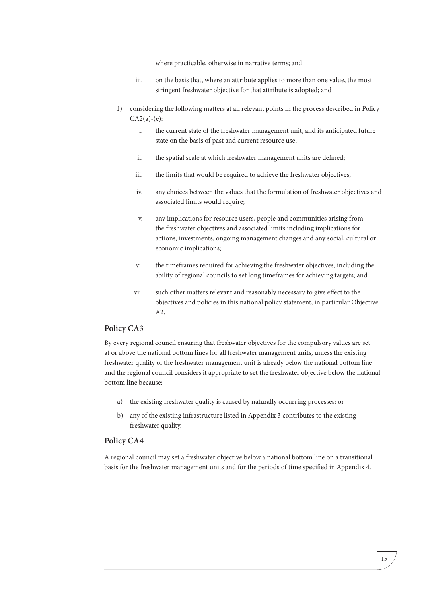where practicable, otherwise in narrative terms; and

- iii. on the basis that, where an attribute applies to more than one value, the most stringent freshwater objective for that attribute is adopted; and
- f) considering the following matters at all relevant points in the process described in Policy  $CA2(a)-(e)$ :
	- i. the current state of the freshwater management unit, and its anticipated future state on the basis of past and current resource use;
	- ii. the spatial scale at which freshwater management units are defined;
	- iii. the limits that would be required to achieve the freshwater objectives;
	- iv. any choices between the values that the formulation of freshwater objectives and associated limits would require;
	- v. any implications for resource users, people and communities arising from the freshwater objectives and associated limits including implications for actions, investments, ongoing management changes and any social, cultural or economic implications;
	- vi. the timeframes required for achieving the freshwater objectives, including the ability of regional councils to set long timeframes for achieving targets; and
	- vii. such other matters relevant and reasonably necessary to give effect to the objectives and policies in this national policy statement, in particular Objective A2.

#### **Policy CA3**

By every regional council ensuring that freshwater objectives for the compulsory values are set at or above the national bottom lines for all freshwater management units, unless the existing freshwater quality of the freshwater management unit is already below the national bottom line and the regional council considers it appropriate to set the freshwater objective below the national bottom line because:

- a) the existing freshwater quality is caused by naturally occurring processes; or
- b) any of the existing infrastructure listed in Appendix 3 contributes to the existing freshwater quality.

#### **Policy CA4**

A regional council may set a freshwater objective below a national bottom line on a transitional basis for the freshwater management units and for the periods of time specified in Appendix 4.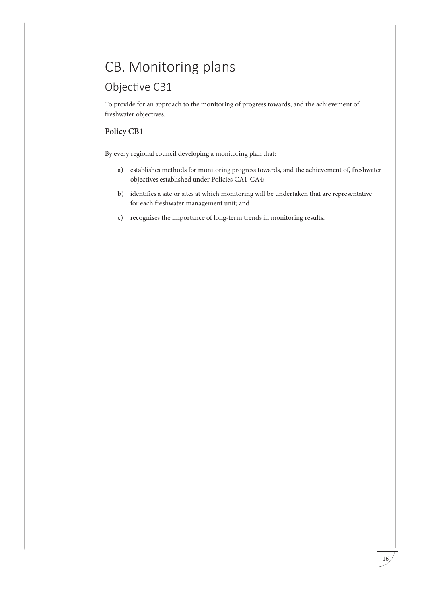# CB. Monitoring plans

### Objective CB1

To provide for an approach to the monitoring of progress towards, and the achievement of, freshwater objectives.

#### **Policy CB1**

By every regional council developing a monitoring plan that:

- a) establishes methods for monitoring progress towards, and the achievement of, freshwater objectives established under Policies CA1-CA4;
- b) identifies a site or sites at which monitoring will be undertaken that are representative for each freshwater management unit; and
- c) recognises the importance of long-term trends in monitoring results.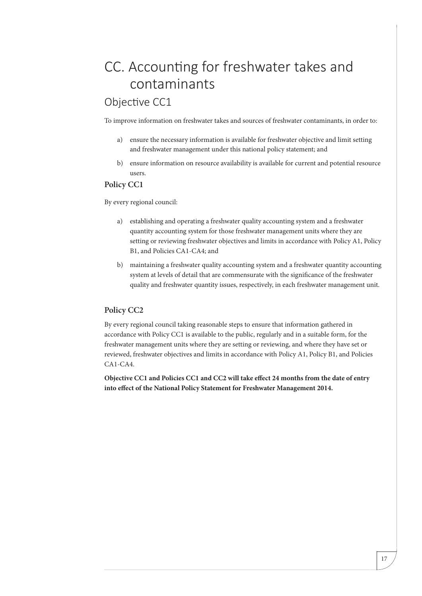# CC. Accounting for freshwater takes and contaminants

### Objective CC1

To improve information on freshwater takes and sources of freshwater contaminants, in order to:

- a) ensure the necessary information is available for freshwater objective and limit setting and freshwater management under this national policy statement; and
- b) ensure information on resource availability is available for current and potential resource users.

#### **Policy CC1**

By every regional council:

- a) establishing and operating a freshwater quality accounting system and a freshwater quantity accounting system for those freshwater management units where they are setting or reviewing freshwater objectives and limits in accordance with Policy A1, Policy B1, and Policies CA1-CA4; and
- b) maintaining a freshwater quality accounting system and a freshwater quantity accounting system at levels of detail that are commensurate with the significance of the freshwater quality and freshwater quantity issues, respectively, in each freshwater management unit.

#### **Policy CC2**

By every regional council taking reasonable steps to ensure that information gathered in accordance with Policy CC1 is available to the public, regularly and in a suitable form, for the freshwater management units where they are setting or reviewing, and where they have set or reviewed, freshwater objectives and limits in accordance with Policy A1, Policy B1, and Policies CA1-CA4.

**Objective CC1 and Policies CC1 and CC2 will take effect 24 months from the date of entry into effect of the National Policy Statement for Freshwater Management 2014.**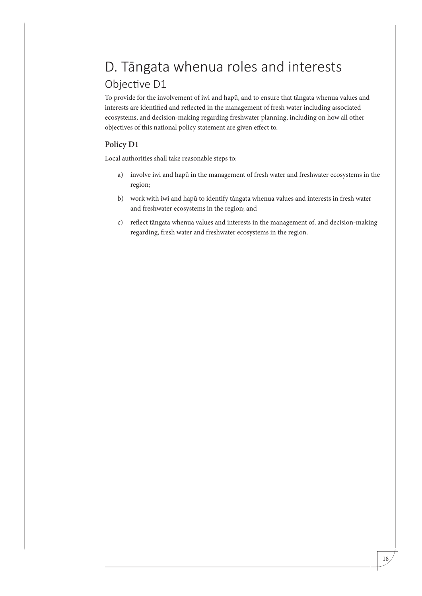# D. Tāngata whenua roles and interests Objective D1

To provide for the involvement of iwi and hapū, and to ensure that tāngata whenua values and interests are identified and reflected in the management of fresh water including associated ecosystems, and decision-making regarding freshwater planning, including on how all other objectives of this national policy statement are given effect to.

#### **Policy D1**

Local authorities shall take reasonable steps to:

- a) involve iwi and hapū in the management of fresh water and freshwater ecosystems in the region;
- b) work with iwi and hapū to identify tāngata whenua values and interests in fresh water and freshwater ecosystems in the region; and
- c) reflect tāngata whenua values and interests in the management of, and decision-making regarding, fresh water and freshwater ecosystems in the region.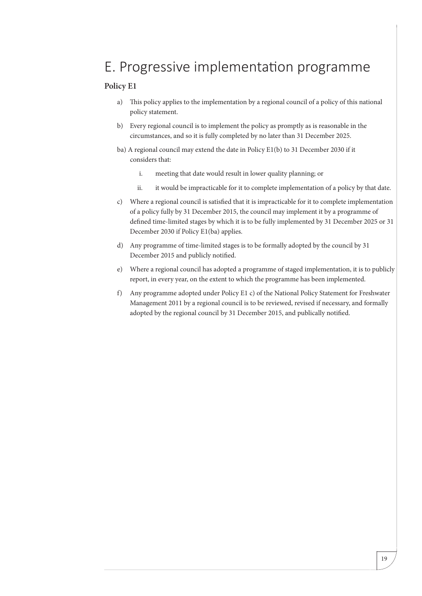## E. Progressive implementation programme

#### **Policy E1**

- a) This policy applies to the implementation by a regional council of a policy of this national policy statement.
- b) Every regional council is to implement the policy as promptly as is reasonable in the circumstances, and so it is fully completed by no later than 31 December 2025.
- ba) A regional council may extend the date in Policy E1(b) to 31 December 2030 if it considers that:
	- i. meeting that date would result in lower quality planning; or
	- ii. it would be impracticable for it to complete implementation of a policy by that date.
- c) Where a regional council is satisfied that it is impracticable for it to complete implementation of a policy fully by 31 December 2015, the council may implement it by a programme of defined time-limited stages by which it is to be fully implemented by 31 December 2025 or 31 December 2030 if Policy E1(ba) applies.
- d) Any programme of time-limited stages is to be formally adopted by the council by 31 December 2015 and publicly notified.
- e) Where a regional council has adopted a programme of staged implementation, it is to publicly report, in every year, on the extent to which the programme has been implemented.
- f) Any programme adopted under Policy E1 c) of the National Policy Statement for Freshwater Management 2011 by a regional council is to be reviewed, revised if necessary, and formally adopted by the regional council by 31 December 2015, and publically notified.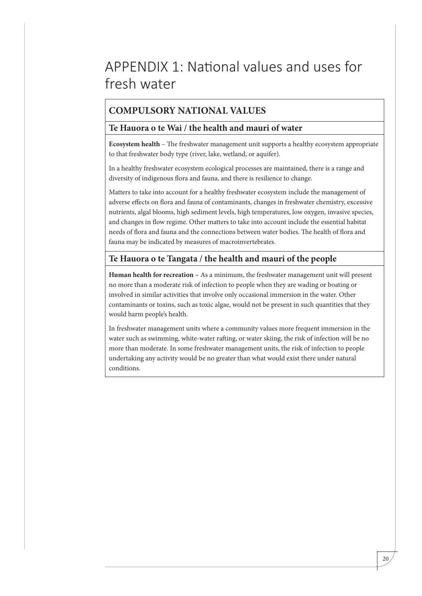## APPENDIX 1: National values and uses for fresh water

### **COMPULSORY NATIONAL VALUES**

#### **Te Hauora o te Wai / the health and mauri of water**

**Ecosystem health** – The freshwater management unit supports a healthy ecosystem appropriate to that freshwater body type (river, lake, wetland, or aquifer).

In a healthy freshwater ecosystem ecological processes are maintained, there is a range and diversity of indigenous flora and fauna, and there is resilience to change.

Matters to take into account for a healthy freshwater ecosystem include the management of adverse effects on flora and fauna of contaminants, changes in freshwater chemistry, excessive nutrients, algal blooms, high sediment levels, high temperatures, low oxygen, invasive species, and changes in flow regime. Other matters to take into account include the essential habitat needs of flora and fauna and the connections between water bodies. The health of flora and fauna may be indicated by measures of macroinvertebrates.

#### **Te Hauora o te Tangata / the health and mauri of the people**

**Human health for recreation –** As a minimum, the freshwater management unit will present no more than a moderate risk of infection to people when they are wading or boating or involved in similar activities that involve only occasional immersion in the water. Other contaminants or toxins, such as toxic algae, would not be present in such quantities that they would harm people's health.

In freshwater management units where a community values more frequent immersion in the water such as swimming, white-water rafting, or water skiing, the risk of infection will be no more than moderate. In some freshwater management units, the risk of infection to people undertaking any activity would be no greater than what would exist there under natural conditions.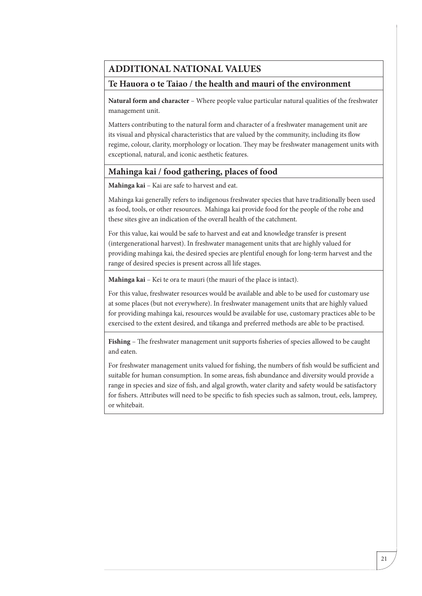#### **ADDITIONAL NATIONAL VALUES**

#### **Te Hauora o te Taiao / the health and mauri of the environment**

**Natural form and character** – Where people value particular natural qualities of the freshwater management unit.

Matters contributing to the natural form and character of a freshwater management unit are its visual and physical characteristics that are valued by the community, including its flow regime, colour, clarity, morphology or location. They may be freshwater management units with exceptional, natural, and iconic aesthetic features.

#### **Mahinga kai / food gathering, places of food**

**Mahinga kai** – Kai are safe to harvest and eat.

Mahinga kai generally refers to indigenous freshwater species that have traditionally been used as food, tools, or other resources. Mahinga kai provide food for the people of the rohe and these sites give an indication of the overall health of the catchment.

For this value, kai would be safe to harvest and eat and knowledge transfer is present (intergenerational harvest). In freshwater management units that are highly valued for providing mahinga kai, the desired species are plentiful enough for long-term harvest and the range of desired species is present across all life stages.

**Mahinga kai** – Kei te ora te mauri (the mauri of the place is intact).

For this value, freshwater resources would be available and able to be used for customary use at some places (but not everywhere). In freshwater management units that are highly valued for providing mahinga kai, resources would be available for use, customary practices able to be exercised to the extent desired, and tikanga and preferred methods are able to be practised.

**Fishing** – The freshwater management unit supports fisheries of species allowed to be caught and eaten.

For freshwater management units valued for fishing, the numbers of fish would be sufficient and suitable for human consumption. In some areas, fish abundance and diversity would provide a range in species and size of fish, and algal growth, water clarity and safety would be satisfactory for fishers. Attributes will need to be specific to fish species such as salmon, trout, eels, lamprey, or whitebait.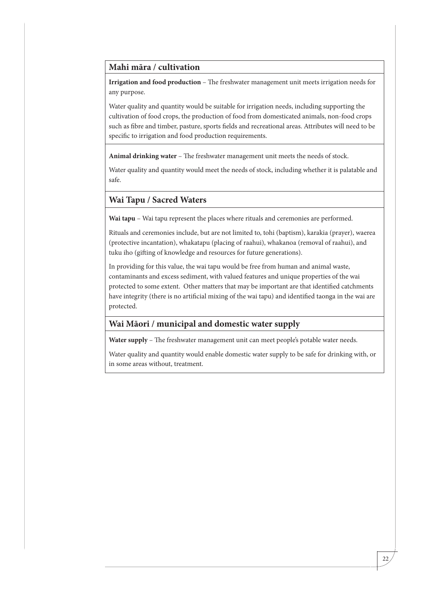#### **Mahi māra / cultivation**

**Irrigation and food production** – The freshwater management unit meets irrigation needs for any purpose.

Water quality and quantity would be suitable for irrigation needs, including supporting the cultivation of food crops, the production of food from domesticated animals, non-food crops such as fibre and timber, pasture, sports fields and recreational areas. Attributes will need to be specific to irrigation and food production requirements.

**Animal drinking water** – The freshwater management unit meets the needs of stock.

Water quality and quantity would meet the needs of stock, including whether it is palatable and safe.

#### **Wai Tapu / Sacred Waters**

**Wai tapu** – Wai tapu represent the places where rituals and ceremonies are performed.

Rituals and ceremonies include, but are not limited to, tohi (baptism), karakia (prayer), waerea (protective incantation), whakatapu (placing of raahui), whakanoa (removal of raahui), and tuku iho (gifting of knowledge and resources for future generations).

In providing for this value, the wai tapu would be free from human and animal waste, contaminants and excess sediment, with valued features and unique properties of the wai protected to some extent. Other matters that may be important are that identified catchments have integrity (there is no artificial mixing of the wai tapu) and identified taonga in the wai are protected.

#### **Wai Māori / municipal and domestic water supply**

**Water supply** – The freshwater management unit can meet people's potable water needs.

Water quality and quantity would enable domestic water supply to be safe for drinking with, or in some areas without, treatment.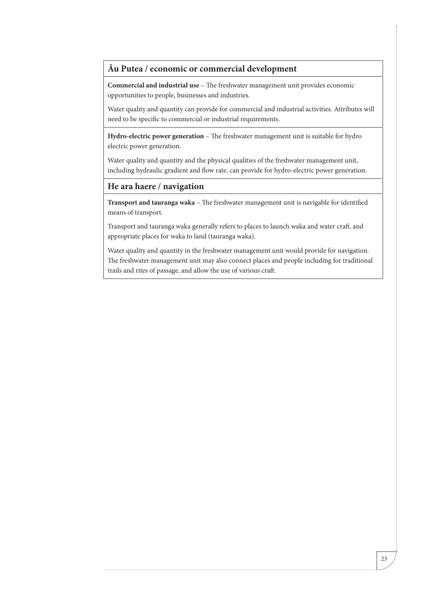#### **Āu Putea / economic or commercial development**

**Commercial and industrial use** – The freshwater management unit provides economic opportunities to people, businesses and industries.

Water quality and quantity can provide for commercial and industrial activities. Attributes will need to be specific to commercial or industrial requirements.

**Hydro-electric power generation** – The freshwater management unit is suitable for hydro electric power generation.

Water quality and quantity and the physical qualities of the freshwater management unit, including hydraulic gradient and flow rate, can provide for hydro-electric power generation.

#### **He ara haere / navigation**

**Transport and tauranga waka** – The freshwater management unit is navigable for identified means of transport.

Transport and tauranga waka generally refers to places to launch waka and water craft, and appropriate places for waka to land (tauranga waka).

Water quality and quantity in the freshwater management unit would provide for navigation. The freshwater management unit may also connect places and people including for traditional trails and rites of passage, and allow the use of various craft.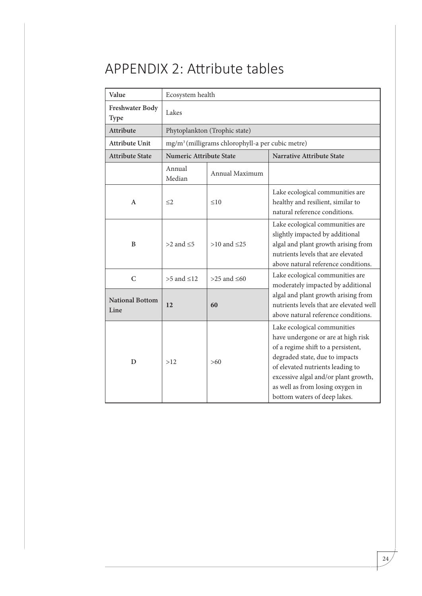# APPENDIX 2: Attribute tables

| Value                          | Ecosystem health               |                                                              |                                                                                                                                                                                                                                                                                           |
|--------------------------------|--------------------------------|--------------------------------------------------------------|-------------------------------------------------------------------------------------------------------------------------------------------------------------------------------------------------------------------------------------------------------------------------------------------|
| Freshwater Body<br>Type        | Lakes                          |                                                              |                                                                                                                                                                                                                                                                                           |
| Attribute                      |                                | Phytoplankton (Trophic state)                                |                                                                                                                                                                                                                                                                                           |
| <b>Attribute Unit</b>          |                                | mg/m <sup>3</sup> (milligrams chlorophyll-a per cubic metre) |                                                                                                                                                                                                                                                                                           |
| <b>Attribute State</b>         | <b>Numeric Attribute State</b> |                                                              | <b>Narrative Attribute State</b>                                                                                                                                                                                                                                                          |
|                                | Annual<br>Median               | Annual Maximum                                               |                                                                                                                                                                                                                                                                                           |
| A                              | $\leq$ 2                       | $\leq 10$                                                    | Lake ecological communities are<br>healthy and resilient, similar to<br>natural reference conditions.                                                                                                                                                                                     |
| B                              | $>2$ and $\leq 5$              | $>10$ and $\leq 25$                                          | Lake ecological communities are<br>slightly impacted by additional<br>algal and plant growth arising from<br>nutrients levels that are elevated<br>above natural reference conditions.                                                                                                    |
| $\mathcal{C}$                  | $>5$ and $\leq 12$             | $>25$ and $\leq 60$                                          | Lake ecological communities are<br>moderately impacted by additional                                                                                                                                                                                                                      |
| <b>National Bottom</b><br>Line | 12                             | 60                                                           | algal and plant growth arising from<br>nutrients levels that are elevated well<br>above natural reference conditions.                                                                                                                                                                     |
| D                              | >12                            | $>60$                                                        | Lake ecological communities<br>have undergone or are at high risk<br>of a regime shift to a persistent,<br>degraded state, due to impacts<br>of elevated nutrients leading to<br>excessive algal and/or plant growth,<br>as well as from losing oxygen in<br>bottom waters of deep lakes. |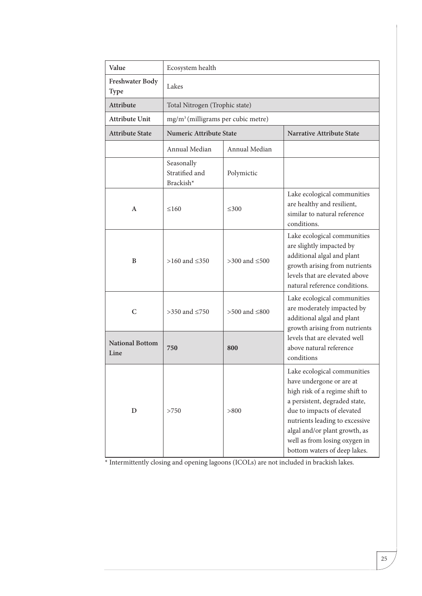| Value                          | Ecosystem health                               |                       |                                                                                                                                                                                                                                                                                              |
|--------------------------------|------------------------------------------------|-----------------------|----------------------------------------------------------------------------------------------------------------------------------------------------------------------------------------------------------------------------------------------------------------------------------------------|
| Freshwater Body<br><b>Type</b> | Lakes                                          |                       |                                                                                                                                                                                                                                                                                              |
| Attribute                      | Total Nitrogen (Trophic state)                 |                       |                                                                                                                                                                                                                                                                                              |
| <b>Attribute Unit</b>          | mg/m <sup>3</sup> (milligrams per cubic metre) |                       |                                                                                                                                                                                                                                                                                              |
| <b>Attribute State</b>         | <b>Numeric Attribute State</b>                 |                       | <b>Narrative Attribute State</b>                                                                                                                                                                                                                                                             |
|                                | Annual Median                                  | Annual Median         |                                                                                                                                                                                                                                                                                              |
|                                | Seasonally<br>Stratified and<br>Brackish*      | Polymictic            |                                                                                                                                                                                                                                                                                              |
| A                              | $\leq 160$                                     | $\leq 300$            | Lake ecological communities<br>are healthy and resilient,<br>similar to natural reference<br>conditions.                                                                                                                                                                                     |
| B                              | >160 and ≤350                                  | $>300$ and $\leq 500$ | Lake ecological communities<br>are slightly impacted by<br>additional algal and plant<br>growth arising from nutrients<br>levels that are elevated above<br>natural reference conditions.                                                                                                    |
| C                              | >350 and $\leq$ 750                            | >500 and $\leq$ 800   | Lake ecological communities<br>are moderately impacted by<br>additional algal and plant<br>growth arising from nutrients                                                                                                                                                                     |
| <b>National Bottom</b><br>Line | 750                                            | 800                   | levels that are elevated well<br>above natural reference<br>conditions                                                                                                                                                                                                                       |
| D                              | >750                                           | > 800                 | Lake ecological communities<br>have undergone or are at<br>high risk of a regime shift to<br>a persistent, degraded state,<br>due to impacts of elevated<br>nutrients leading to excessive<br>algal and/or plant growth, as<br>well as from losing oxygen in<br>bottom waters of deep lakes. |

\* Intermittently closing and opening lagoons (ICOLs) are not included in brackish lakes.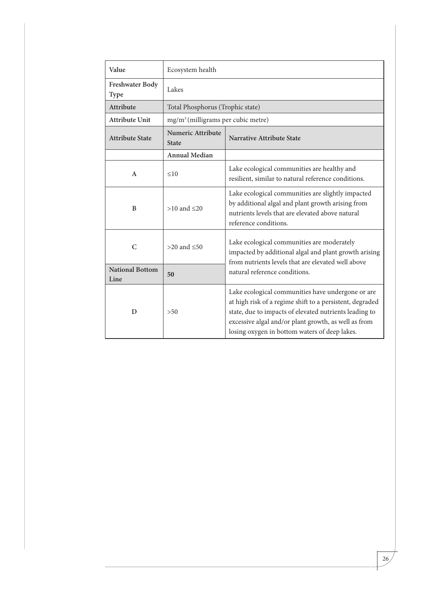| Value                          | Ecosystem health                                                             |                                                                                                                                                                                                                                                                                  |  |
|--------------------------------|------------------------------------------------------------------------------|----------------------------------------------------------------------------------------------------------------------------------------------------------------------------------------------------------------------------------------------------------------------------------|--|
| Freshwater Body<br>Type        | Lakes                                                                        |                                                                                                                                                                                                                                                                                  |  |
| Attribute                      | Total Phosphorus (Trophic state)                                             |                                                                                                                                                                                                                                                                                  |  |
| <b>Attribute Unit</b>          | mg/m <sup>3</sup> (milligrams per cubic metre)                               |                                                                                                                                                                                                                                                                                  |  |
| <b>Attribute State</b>         | <b>Numeric Attribute</b><br><b>Narrative Attribute State</b><br><b>State</b> |                                                                                                                                                                                                                                                                                  |  |
|                                | <b>Annual Median</b>                                                         |                                                                                                                                                                                                                                                                                  |  |
| A                              | $\leq 10$                                                                    | Lake ecological communities are healthy and<br>resilient, similar to natural reference conditions.                                                                                                                                                                               |  |
| B                              | $>10$ and $\leq 20$                                                          | Lake ecological communities are slightly impacted<br>by additional algal and plant growth arising from<br>nutrients levels that are elevated above natural<br>reference conditions.                                                                                              |  |
| C                              | $>20$ and $< 50$                                                             | Lake ecological communities are moderately<br>impacted by additional algal and plant growth arising<br>from nutrients levels that are elevated well above<br>natural reference conditions.                                                                                       |  |
| <b>National Bottom</b><br>Line | 50                                                                           |                                                                                                                                                                                                                                                                                  |  |
| D                              | >50                                                                          | Lake ecological communities have undergone or are<br>at high risk of a regime shift to a persistent, degraded<br>state, due to impacts of elevated nutrients leading to<br>excessive algal and/or plant growth, as well as from<br>losing oxygen in bottom waters of deep lakes. |  |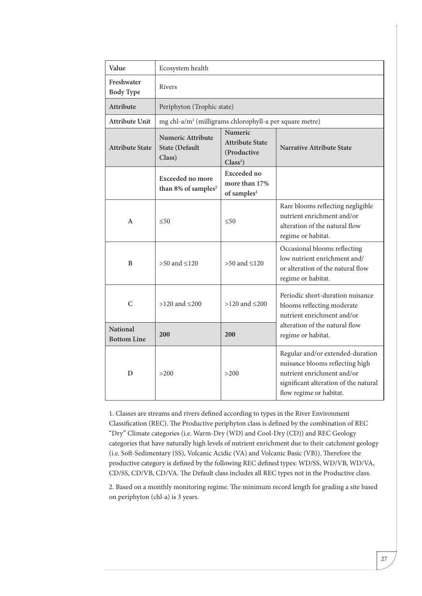| Value                                 | Ecosystem health                                                    |                                                                        |                                                                                                                                                                       |
|---------------------------------------|---------------------------------------------------------------------|------------------------------------------------------------------------|-----------------------------------------------------------------------------------------------------------------------------------------------------------------------|
| Freshwater<br><b>Body Type</b>        | <b>Rivers</b>                                                       |                                                                        |                                                                                                                                                                       |
| <b>Attribute</b>                      | Periphyton (Trophic state)                                          |                                                                        |                                                                                                                                                                       |
| <b>Attribute Unit</b>                 | mg chl-a/m <sup>2</sup> (milligrams chlorophyll-a per square metre) |                                                                        |                                                                                                                                                                       |
| <b>Attribute State</b>                | <b>Numeric Attribute</b><br><b>State (Default</b><br>Class)         | Numeric<br><b>Attribute State</b><br>(Productive<br>Class <sup>1</sup> | <b>Narrative Attribute State</b>                                                                                                                                      |
|                                       | <b>Exceeded no more</b><br>than 8% of samples <sup>2</sup>          | <b>Exceeded no</b><br>more than 17%<br>of samples <sup>2</sup>         |                                                                                                                                                                       |
| $\mathbf{A}$                          | $\leq 50$                                                           | $\leq 50$                                                              | Rare blooms reflecting negligible<br>nutrient enrichment and/or<br>alteration of the natural flow<br>regime or habitat.                                               |
| B                                     | $>50$ and $\leq 120$                                                | $>50$ and $\leq 120$                                                   | Occasional blooms reflecting<br>low nutrient enrichment and/<br>or alteration of the natural flow<br>regime or habitat.                                               |
| $\overline{C}$                        | $>120$ and $\leq 200$                                               | $>120$ and $\leq 200$                                                  | Periodic short-duration nuisance<br>blooms reflecting moderate<br>nutrient enrichment and/or                                                                          |
| <b>National</b><br><b>Bottom Line</b> | 200                                                                 | 200                                                                    | alteration of the natural flow<br>regime or habitat.                                                                                                                  |
| D                                     | >200                                                                | >200                                                                   | Regular and/or extended-duration<br>nuisance blooms reflecting high<br>nutrient enrichment and/or<br>significant alteration of the natural<br>flow regime or habitat. |

1. Classes are streams and rivers defined according to types in the River Environment Classification (REC). The Productive periphyton class is defined by the combination of REC "Dry" Climate categories (i.e. Warm-Dry (WD) and Cool-Dry (CD)) and REC Geology categories that have naturally high levels of nutrient enrichment due to their catchment geology (i.e. Soft-Sedimentary (SS), Volcanic Acidic (VA) and Volcanic Basic (VB)). Therefore the productive category is defined by the following REC defined types: WD/SS, WD/VB, WD/VA, CD/SS, CD/VB, CD/VA. The Default class includes all REC types not in the Productive class.

2. Based on a monthly monitoring regime. The minimum record length for grading a site based on periphyton (chl-a) is 3 years.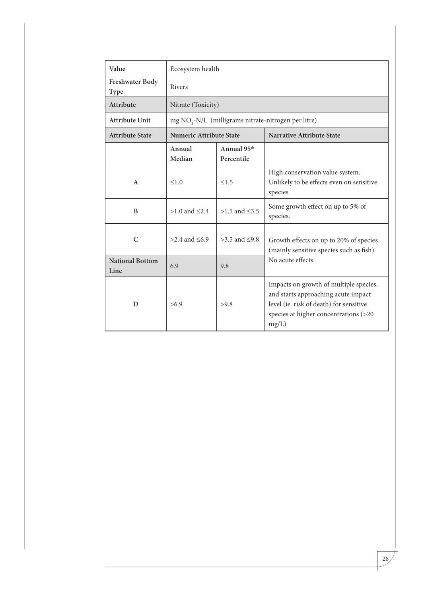| Value                          | Ecosystem health               |                                       |                                                                                                                                                                           |  |
|--------------------------------|--------------------------------|---------------------------------------|---------------------------------------------------------------------------------------------------------------------------------------------------------------------------|--|
| Freshwater Body<br>Type        | Rivers                         |                                       |                                                                                                                                                                           |  |
| <b>Attribute</b>               | Nitrate (Toxicity)             |                                       |                                                                                                                                                                           |  |
| <b>Attribute Unit</b>          |                                |                                       | mg NO <sub>3</sub> -N/L (milligrams nitrate-nitrogen per litre)                                                                                                           |  |
| <b>Attribute State</b>         | <b>Numeric Attribute State</b> |                                       | <b>Narrative Attribute State</b>                                                                                                                                          |  |
|                                | Annual<br>Median               | Annual 95 <sup>th</sup><br>Percentile |                                                                                                                                                                           |  |
| $\mathsf{A}$                   | $\leq 1.0$                     | $\leq 1.5$                            | High conservation value system.<br>Unlikely to be effects even on sensitive<br>species                                                                                    |  |
| B                              | $>1.0$ and $\leq 2.4$          | $>1.5$ and $\leq 3.5$                 | Some growth effect on up to 5% of<br>species.                                                                                                                             |  |
| $\mathbf C$                    | >2.4 and ≤6.9                  | $>3.5$ and $\leq 9.8$                 | Growth effects on up to 20% of species<br>(mainly sensitive species such as fish).                                                                                        |  |
| <b>National Bottom</b><br>Line | 6.9                            | 9.8                                   | No acute effects.                                                                                                                                                         |  |
| D                              | >6.9                           | >9.8                                  | Impacts on growth of multiple species,<br>and starts approaching acute impact<br>level (ie risk of death) for sensitive<br>species at higher concentrations (>20<br>mg/L) |  |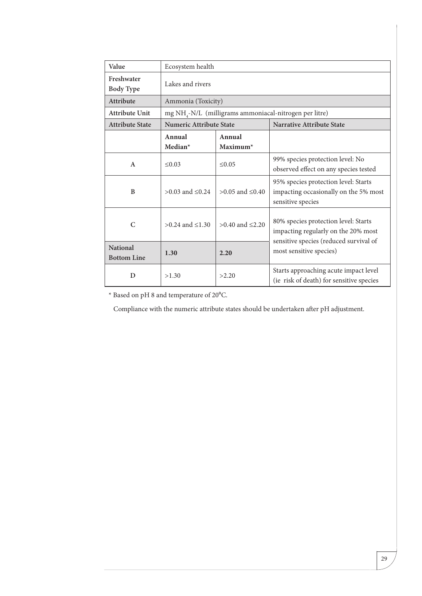| Value                                 | Ecosystem health               |                         |                                                                                                                       |
|---------------------------------------|--------------------------------|-------------------------|-----------------------------------------------------------------------------------------------------------------------|
| Freshwater<br><b>Body Type</b>        | Lakes and rivers               |                         |                                                                                                                       |
| Attribute                             | Ammonia (Toxicity)             |                         |                                                                                                                       |
| <b>Attribute Unit</b>                 |                                |                         | mg NH <sub>4</sub> -N/L (milligrams ammoniacal-nitrogen per litre)                                                    |
| <b>Attribute State</b>                | <b>Numeric Attribute State</b> |                         | <b>Narrative Attribute State</b>                                                                                      |
|                                       | Annual<br>Median*              | Annual<br>$Maximum*$    |                                                                                                                       |
| $\mathsf{A}$                          | $\leq 0.03$                    | $\leq 0.05$             | 99% species protection level: No<br>observed effect on any species tested                                             |
| B                                     | $>0.03$ and $\leq 0.24$        | $>0.05$ and $\leq 0.40$ | 95% species protection level: Starts<br>impacting occasionally on the 5% most<br>sensitive species                    |
| $\mathsf{C}$                          | $>0.24$ and $\leq 1.30$        | $>0.40$ and $\leq 2.20$ | 80% species protection level: Starts<br>impacting regularly on the 20% most<br>sensitive species (reduced survival of |
| <b>National</b><br><b>Bottom Line</b> | 1.30                           | 2.20                    | most sensitive species)                                                                                               |
| D                                     | >1.30                          | >2.20                   | Starts approaching acute impact level<br>(ie risk of death) for sensitive species                                     |

 $^{\star}$  Based on pH 8 and temperature of 20°C.

Compliance with the numeric attribute states should be undertaken after pH adjustment.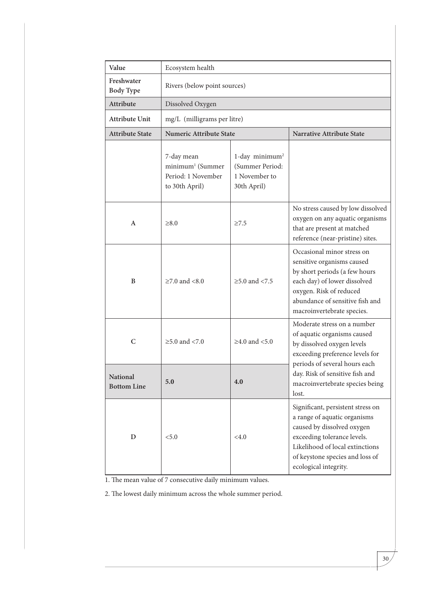| Value                                 | Ecosystem health                                                                   |                                                                               |                                                                                                                                                                                                                               |  |
|---------------------------------------|------------------------------------------------------------------------------------|-------------------------------------------------------------------------------|-------------------------------------------------------------------------------------------------------------------------------------------------------------------------------------------------------------------------------|--|
| Freshwater<br><b>Body Type</b>        | Rivers (below point sources)                                                       |                                                                               |                                                                                                                                                                                                                               |  |
| <b>Attribute</b>                      | Dissolved Oxygen                                                                   |                                                                               |                                                                                                                                                                                                                               |  |
| <b>Attribute Unit</b>                 | mg/L (milligrams per litre)                                                        |                                                                               |                                                                                                                                                                                                                               |  |
| <b>Attribute State</b>                | <b>Numeric Attribute State</b>                                                     |                                                                               | <b>Narrative Attribute State</b>                                                                                                                                                                                              |  |
|                                       | 7-day mean<br>minimum <sup>1</sup> (Summer<br>Period: 1 November<br>to 30th April) | 1-day minimum <sup>2</sup><br>(Summer Period:<br>1 November to<br>30th April) |                                                                                                                                                                                                                               |  |
| A                                     | $\geq 8.0$                                                                         | $\geq 7.5$                                                                    | No stress caused by low dissolved<br>oxygen on any aquatic organisms<br>that are present at matched<br>reference (near-pristine) sites.                                                                                       |  |
| B                                     | $≥7.0$ and $< 8.0$                                                                 | $\geq$ 5.0 and <7.5                                                           | Occasional minor stress on<br>sensitive organisms caused<br>by short periods (a few hours<br>each day) of lower dissolved<br>oxygen. Risk of reduced<br>abundance of sensitive fish and<br>macroinvertebrate species.         |  |
| $\mathsf{C}$                          | $\geq$ 5.0 and <7.0                                                                | $\geq$ 4.0 and <5.0                                                           | Moderate stress on a number<br>of aquatic organisms caused<br>by dissolved oxygen levels<br>exceeding preference levels for<br>periods of several hours each                                                                  |  |
| <b>National</b><br><b>Bottom Line</b> | 5.0                                                                                | 4.0                                                                           | day. Risk of sensitive fish and<br>macroinvertebrate species being<br>lost.                                                                                                                                                   |  |
| D                                     | < 5.0                                                                              | <4.0                                                                          | Significant, persistent stress on<br>a range of aquatic organisms<br>caused by dissolved oxygen<br>exceeding tolerance levels.<br>Likelihood of local extinctions<br>of keystone species and loss of<br>ecological integrity. |  |

1. The mean value of 7 consecutive daily minimum values.

2. The lowest daily minimum across the whole summer period.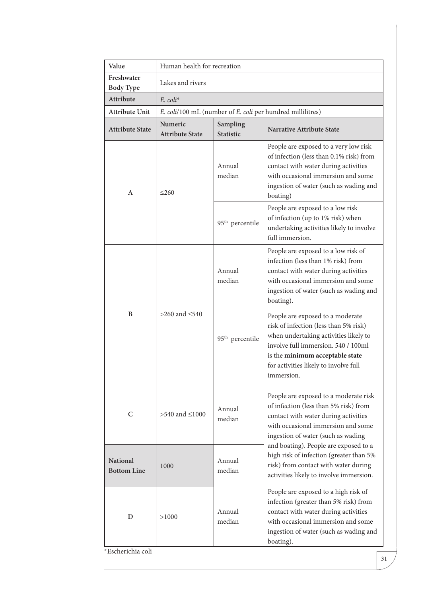| Value                                 | Human health for recreation       |                              |                                                                                                                                                                                                                                                     |
|---------------------------------------|-----------------------------------|------------------------------|-----------------------------------------------------------------------------------------------------------------------------------------------------------------------------------------------------------------------------------------------------|
| Freshwater<br><b>Body Type</b>        | Lakes and rivers                  |                              |                                                                                                                                                                                                                                                     |
| Attribute                             | $E.$ coli <sup>*</sup>            |                              |                                                                                                                                                                                                                                                     |
| <b>Attribute Unit</b>                 |                                   |                              | E. coli/100 mL (number of E. coli per hundred millilitres)                                                                                                                                                                                          |
| <b>Attribute State</b>                | Numeric<br><b>Attribute State</b> | Sampling<br><b>Statistic</b> | <b>Narrative Attribute State</b>                                                                                                                                                                                                                    |
| A                                     | $\leq$ 260                        | Annual<br>median             | People are exposed to a very low risk<br>of infection (less than 0.1% risk) from<br>contact with water during activities<br>with occasional immersion and some<br>ingestion of water (such as wading and<br>boating)                                |
|                                       |                                   | 95 <sup>th</sup> percentile  | People are exposed to a low risk<br>of infection (up to 1% risk) when<br>undertaking activities likely to involve<br>full immersion.                                                                                                                |
| B                                     |                                   | Annual<br>median             | People are exposed to a low risk of<br>infection (less than 1% risk) from<br>contact with water during activities<br>with occasional immersion and some<br>ingestion of water (such as wading and<br>boating).                                      |
|                                       | >260 and $\leq$ 540               | 95 <sup>th</sup> percentile  | People are exposed to a moderate<br>risk of infection (less than 5% risk)<br>when undertaking activities likely to<br>involve full immersion. 540 / 100ml<br>is the minimum acceptable state<br>for activities likely to involve full<br>immersion. |
| C                                     | $>540$ and $\leq 1000$            | Annual<br>median             | People are exposed to a moderate risk<br>of infection (less than 5% risk) from<br>contact with water during activities<br>with occasional immersion and some<br>ingestion of water (such as wading                                                  |
| <b>National</b><br><b>Bottom Line</b> | 1000                              | Annual<br>median             | and boating). People are exposed to a<br>high risk of infection (greater than 5%<br>risk) from contact with water during<br>activities likely to involve immersion.                                                                                 |
| D                                     | >1000                             | Annual<br>median             | People are exposed to a high risk of<br>infection (greater than 5% risk) from<br>contact with water during activities<br>with occasional immersion and some<br>ingestion of water (such as wading and<br>boating).                                  |

\*Escherichia coli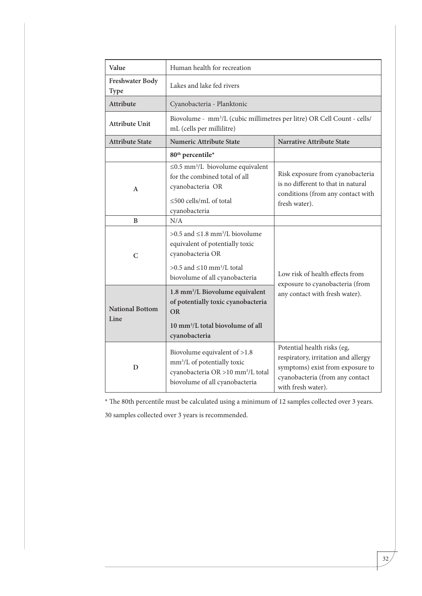| Value                                                                                                                                                                                             | Human health for recreation                                                                                                                                |                                                                                                                                                                 |  |
|---------------------------------------------------------------------------------------------------------------------------------------------------------------------------------------------------|------------------------------------------------------------------------------------------------------------------------------------------------------------|-----------------------------------------------------------------------------------------------------------------------------------------------------------------|--|
| Freshwater Body<br><b>Type</b>                                                                                                                                                                    | Lakes and lake fed rivers                                                                                                                                  |                                                                                                                                                                 |  |
| Attribute                                                                                                                                                                                         | Cyanobacteria - Planktonic                                                                                                                                 |                                                                                                                                                                 |  |
| <b>Attribute Unit</b>                                                                                                                                                                             | Biovolume - mm <sup>3</sup> /L (cubic millimetres per litre) OR Cell Count - cells/<br>mL (cells per millilitre)                                           |                                                                                                                                                                 |  |
| <b>Attribute State</b>                                                                                                                                                                            | <b>Numeric Attribute State</b>                                                                                                                             | Narrative Attribute State                                                                                                                                       |  |
|                                                                                                                                                                                                   | 80 <sup>th</sup> percentile*                                                                                                                               |                                                                                                                                                                 |  |
| A                                                                                                                                                                                                 | $\leq$ 0.5 mm <sup>3</sup> /L biovolume equivalent<br>for the combined total of all<br>cyanobacteria OR<br>$\leq$ 500 cells/mL of total<br>cyanobacteria   | Risk exposure from cyanobacteria<br>is no different to that in natural<br>conditions (from any contact with<br>fresh water).                                    |  |
| B                                                                                                                                                                                                 | N/A                                                                                                                                                        |                                                                                                                                                                 |  |
| $>0.5$ and $\leq 1.8$ mm <sup>3</sup> /L biovolume<br>equivalent of potentially toxic<br>cyanobacteria OR<br>C<br>$>0.5$ and $\leq 10$ mm <sup>3</sup> /L total<br>biovolume of all cyanobacteria |                                                                                                                                                            | Low risk of health effects from                                                                                                                                 |  |
| 1.8 mm <sup>3</sup> /L Biovolume equivalent<br>of potentially toxic cyanobacteria<br><b>National Bottom</b><br><b>OR</b><br>Line<br>10 mm <sup>3</sup> /L total biovolume of all<br>cyanobacteria |                                                                                                                                                            | exposure to cyanobacteria (from<br>any contact with fresh water).                                                                                               |  |
| D                                                                                                                                                                                                 | Biovolume equivalent of >1.8<br>mm <sup>3</sup> /L of potentially toxic<br>cyanobacteria OR >10 mm <sup>3</sup> /L total<br>biovolume of all cyanobacteria | Potential health risks (eg,<br>respiratory, irritation and allergy<br>symptoms) exist from exposure to<br>cyanobacteria (from any contact<br>with fresh water). |  |

\* The 80th percentile must be calculated using a minimum of 12 samples collected over 3 years.

30 samples collected over 3 years is recommended.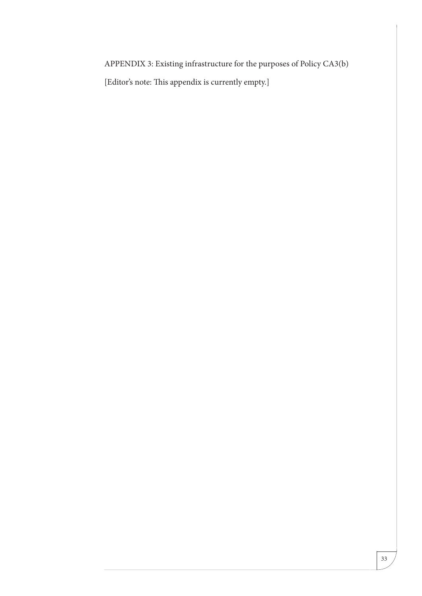APPENDIX 3: Existing infrastructure for the purposes of Policy CA3(b)

[Editor's note: This appendix is currently empty.]